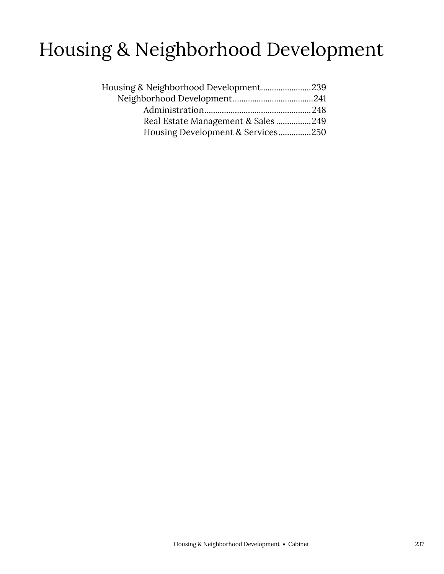# Housing & Neighborhood Development

| Housing & Neighborhood Development239 |  |
|---------------------------------------|--|
|                                       |  |
|                                       |  |
| Real Estate Management & Sales 249    |  |
| Housing Development & Services250     |  |
|                                       |  |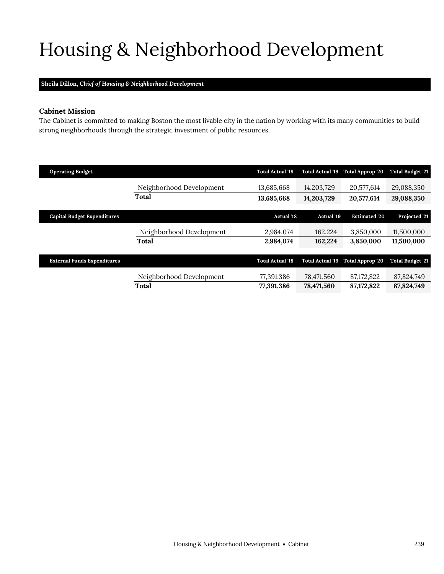# <span id="page-2-0"></span>Housing & Neighborhood Development

# **Sheila Dillon,** *Chief of Housing & Neighborhood Development*

## **Cabinet Mission**

The Cabinet is committed to making Boston the most livable city in the nation by working with its many communities to build strong neighborhoods through the strategic investment of public resources.

| <b>Operating Budget</b>            |                          | <b>Total Actual '18</b> | <b>Total Actual '19</b> | Total Approp '20       | <b>Total Budget '21</b> |
|------------------------------------|--------------------------|-------------------------|-------------------------|------------------------|-------------------------|
|                                    | Neighborhood Development | 13,685,668              | 14,203,729              | 20,577,614             | 29,088,350              |
|                                    | Total                    | 13,685,668              | 14,203,729              | 20,577,614             | 29,088,350              |
|                                    |                          |                         |                         |                        |                         |
| <b>Capital Budget Expenditures</b> |                          | <b>Actual '18</b>       | Actual '19              | <b>Estimated '20</b>   | Projected '21           |
|                                    | Neighborhood Development | 2,984,074               | 162,224                 | 3,850,000              | 11,500,000              |
|                                    | Total                    | 2.984.074               | 162,224                 | 3.850,000              | 11,500,000              |
|                                    |                          |                         |                         |                        |                         |
| <b>External Funds Expenditures</b> |                          | <b>Total Actual '18</b> | <b>Total Actual '19</b> | <b>Total Approp 20</b> | <b>Total Budget '21</b> |
|                                    |                          |                         |                         |                        |                         |
|                                    | Neighborhood Development | 77,391,386              | 78,471,560              | 87, 172, 822           | 87,824,749              |
|                                    | Total                    | 77.391.386              | 78,471,560              | 87,172,822             | 87.824.749              |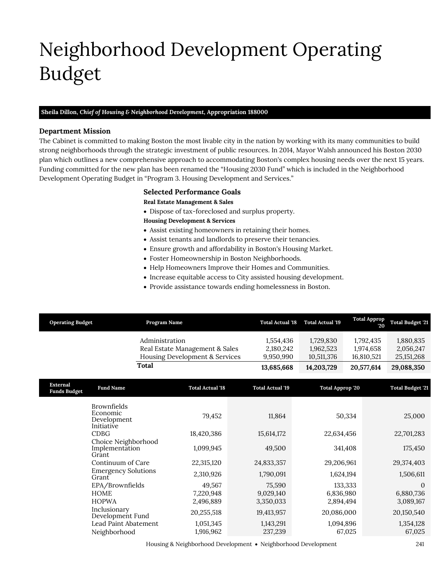# <span id="page-4-0"></span>Neighborhood Development Operating Budget

## **Sheila Dillon,** *Chief of Housing & Neighborhood Development,* **Appropriation 188000**

## **Department Mission**

Neighborhood Development

The Cabinet is committed to making Boston the most livable city in the nation by working with its many communities to build strong neighborhoods through the strategic investment of public resources. In 2014, Mayor Walsh announced his Boston 2030 plan which outlines a new comprehensive approach to accommodating Boston's complex housing needs over the next 15 years. Funding committed for the new plan has been renamed the "Housing 2030 Fund" which is included in the Neighborhood Development Operating Budget in "Program 3. Housing Development and Services."

# **Selected Performance Goals**

## **Real Estate Management & Sales**

Dispose of tax-foreclosed and surplus property.

## **Housing Development & Services**

- Assist existing homeowners in retaining their homes.
- Assist tenants and landlords to preserve their tenancies.
- Ensure growth and affordability in Boston's Housing Market.
- Foster Homeownership in Boston Neighborhoods.
- Help Homeowners Improve their Homes and Communities.
- Increase equitable access to City assisted housing development.
- Provide assistance towards ending homelessness in Boston.

| <b>Operating Budget</b>                                                | Program Name                                                                                            |                                                                  | <b>Total Actual '18</b>                                   | <b>Total Actual 19</b>                | <b>Total Approp</b><br>$20^{\circ}$  | <b>Total Budget '21</b>                                    |
|------------------------------------------------------------------------|---------------------------------------------------------------------------------------------------------|------------------------------------------------------------------|-----------------------------------------------------------|---------------------------------------|--------------------------------------|------------------------------------------------------------|
|                                                                        | Administration                                                                                          | Real Estate Management & Sales<br>Housing Development & Services | 1,554,436<br>2,180,242<br>9,950,990                       | 1,729,830<br>1,962,523<br>10,511,376  | 1,792,435<br>1,974,658<br>16,810,521 | 1,880,835<br>2,056,247<br>25, 151, 268                     |
|                                                                        | Total                                                                                                   |                                                                  | 13,685,668                                                | 14,203,729                            | 20,577,614                           | 29,088,350                                                 |
| <b>External</b><br><b>Funds Budget</b>                                 | <b>Fund Name</b>                                                                                        | <b>Total Actual '18</b>                                          | <b>Total Actual '19</b>                                   | <b>Total Approp '20</b>               |                                      | <b>Total Budget '21</b>                                    |
| <b>Brownfields</b><br>Economic<br>Initiative<br>CDBG<br>Grant<br>Grant | Development<br>Choice Neighborhood<br>Implementation<br>Continuum of Care<br><b>Emergency Solutions</b> | 79,452<br>18,420,386<br>1,099,945<br>22,315,120<br>2,310,926     | 11,864<br>15,614,172<br>49,500<br>24,833,357<br>1,790,091 | 22,634,456<br>29,206,961<br>1,624,194 | 50,334<br>341,408                    | 25,000<br>22,701,283<br>175,450<br>29,374,403<br>1,506,611 |
| <b>HOME</b><br><b>HOPWA</b><br>Inclusionary                            | EPA/Brownfields                                                                                         | 49,567<br>7,220,948<br>2,496,889                                 | 75,590<br>9,029,140<br>3,350,033                          | 6,836,980<br>2,894,494                | 133,333                              | $\Omega$<br>6,880,736<br>3,089,167                         |
|                                                                        | Development Fund<br>Lead Paint Abatement<br>Neighborhood                                                | 20,255,518<br>1,051,345<br>1,916,962                             | 19,413,957<br>1,143,291<br>237,239                        | 20,086,000<br>1,094,896               | 67,025                               | 20,150,540<br>1,354,128<br>67,025                          |

Housing & Neighborhood Development • Neighborhood Development 241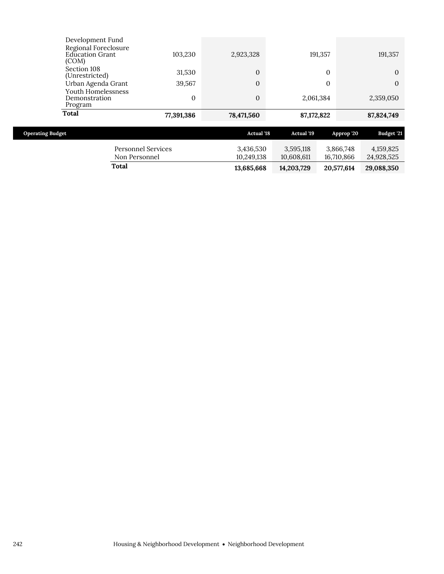| Total                                                                | 77,391,386 | 78,471,560 | 87,172,822 | 87,824,749 |
|----------------------------------------------------------------------|------------|------------|------------|------------|
| Program                                                              |            |            |            |            |
| Youth Homelessness<br>Demonstration                                  | 0          | $\Omega$   | 2,061,384  | 2,359,050  |
| Urban Agenda Grant                                                   | 39,567     | $\Omega$   |            | $\Omega$   |
| Section 108<br>(Unrestricted)                                        | 31,530     | $\Omega$   |            | $\Omega$   |
| Development Fund<br>Regional Foreclosure<br>Education Grant<br>(COM) | 103,230    | 2,923,328  | 191,357    | 191,357    |

| <b>Operating Budget</b>             | <b>Actual</b> '18       | Actual '19              | Approp '20              | <b>Budget '21</b>       |
|-------------------------------------|-------------------------|-------------------------|-------------------------|-------------------------|
| Personnel Services<br>Non Personnel | 3,436,530<br>10.249.138 | 3,595,118<br>10.608.611 | 3.866.748<br>16.710.866 | 4,159,825<br>24,928,525 |
| Total                               | 13,685,668              | 14.203.729              | 20,577,614              | 29,088,350              |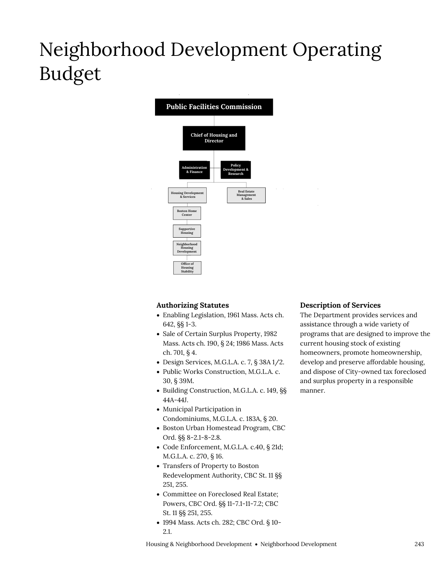# Neighborhood Development Operating Budget



# **Authorizing Statutes**

- Enabling Legislation, 1961 Mass. Acts ch. 642, §§ 1-3.
- Sale of Certain Surplus Property, 1982 Mass. Acts ch. 190, § 24; 1986 Mass. Acts ch. 701, § 4.
- Design Services, M.G.L.A. c. 7, § 38A 1/2.
- Public Works Construction, M.G.L.A. c. 30, § 39M.
- Building Construction, M.G.L.A. c. 149, §§ 44A-44J.
- Municipal Participation in Condominiums, M.G.L.A. c. 183A, § 20.
- Boston Urban Homestead Program, CBC Ord. §§ 8-2.1-8-2.8.
- Code Enforcement, M.G.L.A. c.40, § 21d; M.G.L.A. c. 270, § 16.
- Transfers of Property to Boston Redevelopment Authority, CBC St. 11 §§ 251, 255.
- Committee on Foreclosed Real Estate; Powers, CBC Ord. §§ 11-7.1-11-7.2; CBC St. 11 §§ 251, 255.
- 1994 Mass. Acts ch. 282; CBC Ord. § 10- 2.1.

# **Description of Services**

The Department provides services and assistance through a wide variety of programs that are designed to improve the current housing stock of existing homeowners, promote homeownership, develop and preserve affordable housing, and dispose of City-owned tax foreclosed and surplus property in a responsible manner.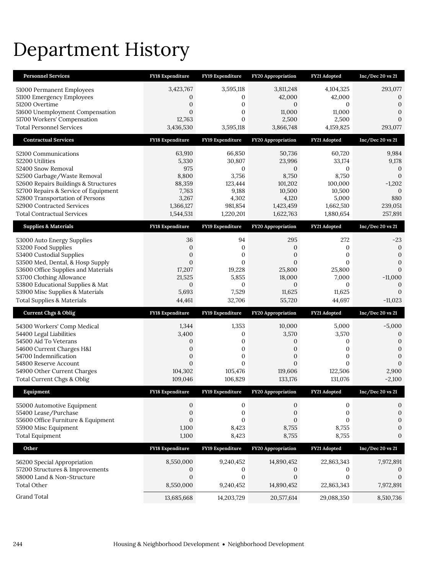# Department History

| <b>Personnel Services</b>                                       | FY18 Expenditure        | FY19 Expenditure          | <b>FY20 Appropriation</b> | FY21 Adopted          | Inc/Dec 20 vs 21             |
|-----------------------------------------------------------------|-------------------------|---------------------------|---------------------------|-----------------------|------------------------------|
| 51000 Permanent Employees                                       | 3,423,767               | 3,595,118                 | 3,811,248                 | 4,104,325             | 293,077                      |
| 51100 Emergency Employees                                       | $\theta$                | $\mathbf{0}$              | 42,000                    | 42,000                | $\mathbf{0}$                 |
| 51200 Overtime                                                  | $\boldsymbol{0}$        | $\mathbf{0}$              | $\mathbf{0}$              | 0                     | $\mathbf{0}$                 |
| 51600 Unemployment Compensation<br>51700 Workers' Compensation  | $\mathbf{0}$<br>12,763  | $\mathbf{0}$              | 11,000                    | 11,000                | $\mathbf{0}$                 |
| <b>Total Personnel Services</b>                                 | 3,436,530               | $\mathbf{0}$<br>3,595,118 | 2,500<br>3,866,748        | 2,500<br>4,159,825    | $\theta$<br>293,077          |
|                                                                 |                         |                           |                           |                       |                              |
| <b>Contractual Services</b>                                     | FY18 Expenditure        | FY19 Expenditure          | <b>FY20 Appropriation</b> | FY21 Adopted          | Inc/Dec 20 vs 21             |
| 52100 Communications                                            | 63,910                  | 66,850                    | 50,736                    | 60,720                | 9,984                        |
| 52200 Utilities                                                 | 5,330                   | 30,807                    | 23,996                    | 33,174                | 9,178                        |
| 52400 Snow Removal<br>52500 Garbage/Waste Removal               | 975<br>8,800            | $\mathbf{0}$<br>3,756     | $\boldsymbol{0}$<br>8,750 | $\mathbf{0}$<br>8,750 | $\mathbf{0}$<br>$\mathbf{0}$ |
| 52600 Repairs Buildings & Structures                            | 88,359                  | 123,444                   | 101,202                   | 100,000               | $-1,202$                     |
| 52700 Repairs & Service of Equipment                            | 7,763                   | 9,188                     | 10,500                    | 10,500                | $\theta$                     |
| 52800 Transportation of Persons                                 | 3,267                   | 4,302                     | 4,120                     | 5,000                 | 880                          |
| 52900 Contracted Services                                       | 1,366,127               | 981,854                   | 1,423,459                 | 1,662,510             | 239,051                      |
| <b>Total Contractual Services</b>                               | 1,544,531               | 1,220,201                 | 1,622,763                 | 1,880,654             | 257,891                      |
| <b>Supplies &amp; Materials</b>                                 | FY18 Expenditure        | FY19 Expenditure          | <b>FY20 Appropriation</b> | FY21 Adopted          | Inc/Dec 20 vs 21             |
| 53000 Auto Energy Supplies                                      | 36                      | 94                        | 295                       | 272                   | -23                          |
| 53200 Food Supplies                                             | $\boldsymbol{0}$        | $\mathbf{0}$              | 0                         | 0                     | $\mathbf{0}$                 |
| 53400 Custodial Supplies                                        | $\boldsymbol{0}$        | $\mathbf{0}$              | $\mathbf{0}$              | 0                     | $\mathbf{0}$                 |
| 53500 Med, Dental, & Hosp Supply                                | $\mathbf{0}$            | $\mathbf{0}$              | $\mathbf{0}$              | $\mathbf{0}$          | $\mathbf{0}$                 |
| 53600 Office Supplies and Materials<br>53700 Clothing Allowance | 17,207<br>21,525        | 19,228<br>5,855           | 25,800<br>18,000          | 25,800<br>7,000       | $\mathbf{0}$<br>$-11,000$    |
| 53800 Educational Supplies & Mat                                | $\mathbf{0}$            | 0                         | $\boldsymbol{0}$          | $\mathbf{0}$          | $\mathbf{0}$                 |
| 53900 Misc Supplies & Materials                                 | 5,693                   | 7,529                     | 11,625                    | 11,625                | $\Omega$                     |
| <b>Total Supplies &amp; Materials</b>                           | 44,461                  | 32,706                    | 55,720                    | 44,697                | $-11,023$                    |
| <b>Current Chgs &amp; Oblig</b>                                 | <b>FY18 Expenditure</b> | FY19 Expenditure          | <b>FY20 Appropriation</b> | FY21 Adopted          | Inc/Dec 20 vs 21             |
|                                                                 |                         |                           |                           |                       |                              |
| 54300 Workers' Comp Medical<br>54400 Legal Liabilities          | 1,344<br>3,400          | 1,353<br>0                | 10,000<br>3,570           | 5,000<br>3,570        | $-5,000$<br>$\mathbf{0}$     |
| 54500 Aid To Veterans                                           | 0                       | $\mathbf{0}$              | 0                         | 0                     | $\boldsymbol{0}$             |
| 54600 Current Charges H&I                                       | $\boldsymbol{0}$        | 0                         | $\boldsymbol{0}$          | 0                     | $\mathbf{0}$                 |
| 54700 Indemnification                                           | $\boldsymbol{0}$        | $\mathbf{0}$              | $\mathbf{0}$              | 0                     | $\mathbf{0}$                 |
| 54800 Reserve Account                                           | $\mathbf{0}$            | $\mathbf{0}$              | $\Omega$                  | $\Omega$              | $\theta$                     |
| 54900 Other Current Charges                                     | 104,302                 | 105,476                   | 119,606                   | 122,506               | 2,900                        |
| Total Current Chgs & Oblig                                      | 109,046                 | 106,829                   | 133,176                   | 131,076               | $-2,100$                     |
| Equipment                                                       | <b>FY18 Expenditure</b> | FY19 Expenditure          | <b>FY20 Appropriation</b> | FY21 Adopted          | Inc/Dec 20 vs 21             |
| 55000 Automotive Equipment                                      | 0                       | 0                         | 0                         | 0                     | $\mathbf 0$                  |
| 55400 Lease/Purchase                                            | 0                       | 0                         | 0                         | 0                     | $\boldsymbol{0}$             |
| 55600 Office Furniture & Equipment                              | $\mathbf{0}$            | $\mathbf{0}$              | $\mathbf{0}$              | $\mathbf{0}$          | $\boldsymbol{0}$             |
| 55900 Misc Equipment                                            | 1,100                   | 8,423                     | 8,755                     | 8,755                 | $\boldsymbol{0}$             |
| <b>Total Equipment</b>                                          | 1,100                   | 8,423                     | 8,755                     | 8,755                 | $\mathbf{0}$                 |
| Other                                                           |                         |                           | FY20 Appropriation        | FY21 Adopted          | Inc/Dec 20 vs 21             |
|                                                                 | FY18 Expenditure        | FY19 Expenditure          |                           |                       |                              |
| 56200 Special Appropriation                                     | 8,550,000               | 9,240,452                 | 14,890,452                | 22,863,343            | 7,972,891                    |
| 57200 Structures & Improvements                                 | 0                       | 0                         | 0                         | 0                     | $\theta$                     |
| 58000 Land & Non-Structure                                      | $\mathbf{0}$            | $\mathbf{0}$              | $\mathbf{0}$              | $\mathbf{0}$          | $\mathbf{0}$                 |
| <b>Total Other</b>                                              | 8,550,000               | 9,240,452                 | 14,890,452                | 22,863,343            | 7,972,891                    |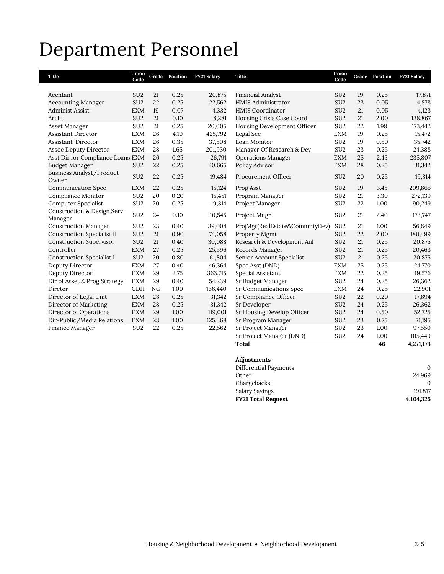# Department Personnel

| Title                                            | Union<br>Code   |    | Grade Position | FY21 Salary | <b>Title</b>                   | Union<br>Code   |    | Grade Position | <b>FY21 Salary</b> |
|--------------------------------------------------|-----------------|----|----------------|-------------|--------------------------------|-----------------|----|----------------|--------------------|
|                                                  |                 |    |                |             |                                |                 |    |                |                    |
| Accntant                                         | SU <sub>2</sub> | 21 | 0.25           | 20,875      | <b>Financial Analyst</b>       | SU <sub>2</sub> | 19 | 0.25           | 17,871             |
| <b>Accounting Manager</b>                        | SU <sub>2</sub> | 22 | 0.25           | 22,562      | <b>HMIS Administrator</b>      | SU <sub>2</sub> | 23 | 0.05           | 4,878              |
| <b>Administ Assist</b>                           | <b>EXM</b>      | 19 | 0.07           | 4,332       | <b>HMIS Coordinator</b>        | SU <sub>2</sub> | 21 | 0.05           | 4,123              |
| Archt                                            | SU <sub>2</sub> | 21 | 0.10           | 8,281       | Housing Crisis Case Coord      | SU <sub>2</sub> | 21 | 2.00           | 138,867            |
| Asset Manager                                    | SU <sub>2</sub> | 21 | 0.25           | 20,005      | Housing Development Officer    | SU <sub>2</sub> | 22 | 1.98           | 173,442            |
| <b>Assistant Director</b>                        | <b>EXM</b>      | 26 | 4.10           | 425,792     | Legal Sec                      | <b>EXM</b>      | 19 | 0.25           | 15,472             |
| Assistant-Director                               | <b>EXM</b>      | 26 | 0.35           | 37,508      | Loan Monitor                   | SU <sub>2</sub> | 19 | 0.50           | 35,742             |
| <b>Assoc Deputy Director</b>                     | <b>EXM</b>      | 28 | 1.65           | 201,930     | Manager Of Research & Dev      | SU <sub>2</sub> | 23 | 0.25           | 24,388             |
| Asst Dir for Compliance Loans EXM                |                 | 26 | 0.25           | 26,791      | <b>Operations Manager</b>      | <b>EXM</b>      | 25 | 2.45           | 235,807            |
| <b>Budget Manager</b>                            | SU <sub>2</sub> | 22 | 0.25           | 20,665      | Policy Advisor                 | <b>EXM</b>      | 28 | 0.25           | 31,342             |
| Business Analyst/Product<br>Owner                | SU <sub>2</sub> | 22 | 0.25           | 19,484      | Procurement Officer            | SU <sub>2</sub> | 20 | 0.25           | 19,314             |
| <b>Communication Spec</b>                        | <b>EXM</b>      | 22 | 0.25           | 15,124      | Prog Asst                      | SU <sub>2</sub> | 19 | 3.45           | 209,865            |
| Compliance Monitor                               | SU <sub>2</sub> | 20 | 0.20           | 15,451      | Program Manager                | SU <sub>2</sub> | 21 | 3.30           | 272,139            |
| Computer Specialist                              | SU <sub>2</sub> | 20 | 0.25           | 19,314      | Project Manager                | SU <sub>2</sub> | 22 | 1.00           | 90,249             |
| <b>Construction &amp; Design Serv</b><br>Manager | SU <sub>2</sub> | 24 | 0.10           | 10,545      | Project Mngr                   | SU <sub>2</sub> | 21 | 2.40           | 173,747            |
| <b>Construction Manager</b>                      | SU <sub>2</sub> | 23 | 0.40           | 39,004      | ProjMgr(RealEstate&CommntyDev) | SU <sub>2</sub> | 21 | 1.00           | 56,849             |
| <b>Construction Specialist II</b>                | SU <sub>2</sub> | 21 | 0.90           | 74,058      | Property Mgmt                  | SU <sub>2</sub> | 22 | 2.00           | 180,499            |
| <b>Construction Supervisor</b>                   | SU <sub>2</sub> | 21 | 0.40           | 30,088      | Research & Development Anl     | SU <sub>2</sub> | 21 | 0.25           | 20,875             |
| Controller                                       | <b>EXM</b>      | 27 | 0.25           | 25,596      | Records Manager                | SU <sub>2</sub> | 21 | 0.25           | 20,463             |
| <b>Construction Specialist I</b>                 | SU <sub>2</sub> | 20 | 0.80           | 61,804      | Senior Account Specialist      | SU <sub>2</sub> | 21 | 0.25           | 20,875             |
| Deputy Director                                  | <b>EXM</b>      | 27 | 0.40           | 46,364      | Spec Asst (DND)                | <b>EXM</b>      | 25 | 0.25           | 24,770             |
| Deputy Director                                  | <b>EXM</b>      | 29 | 2.75           | 363,715     | Special Assistant              | <b>EXM</b>      | 22 | 0.25           | 19,576             |
| Dir of Asset & Prog Strategy                     | <b>EXM</b>      | 29 | 0.40           | 54,239      | Sr Budget Manager              | SU <sub>2</sub> | 24 | 0.25           | 26,362             |
| Dirctor                                          | <b>CDH</b>      | NG | 1.00           | 166,440     | Sr Communications Spec         | <b>EXM</b>      | 24 | 0.25           | 22,901             |
| Director of Legal Unit                           | <b>EXM</b>      | 28 | 0.25           | 31,342      | Sr Compliance Officer          | SU <sub>2</sub> | 22 | 0.20           | 17,894             |
| Director of Marketing                            | <b>EXM</b>      | 28 | 0.25           | 31,342      | Sr Developer                   | SU <sub>2</sub> | 24 | 0.25           | 26,362             |
| Director of Operations                           | <b>EXM</b>      | 29 | 1.00           | 119,001     | Sr Housing Develop Officer     | SU <sub>2</sub> | 24 | $0.50\,$       | 52,725             |
| Dir-Public/Media Relations                       | <b>EXM</b>      | 28 | 1.00           | 125,368     | Sr Program Manager             | SU <sub>2</sub> | 23 | 0.75           | 71,195             |
| Finance Manager                                  | SU <sub>2</sub> | 22 | 0.25           | 22,562      | Sr Project Manager             | SU <sub>2</sub> | 23 | 1.00           | 97,550             |
|                                                  |                 |    |                |             | Sr Project Manager (DND)       | SU <sub>2</sub> | 24 | 1.00           | 105,449            |
|                                                  |                 |    |                |             | <b>Total</b>                   |                 |    | 46             | 4,271,173          |

## **Adjustments**

| <b>FY21 Total Request</b> | 4,104,325  |
|---------------------------|------------|
| Salary Savings            | $-191.817$ |
| Chargebacks               |            |
| Other                     | 24.969     |
| Differential Payments     | 0          |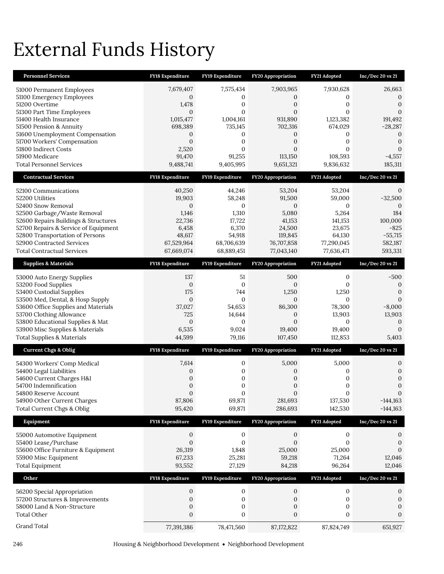# External Funds History

| <b>Personnel Services</b>                                                | FY18 Expenditure           | FY19 Expenditure                 | FY20 Appropriation         | FY21 Adopted              | Inc/Dec 20 vs 21             |
|--------------------------------------------------------------------------|----------------------------|----------------------------------|----------------------------|---------------------------|------------------------------|
| 51000 Permanent Employees                                                | 7,679,407                  | 7,575,434                        | 7,903,965                  | 7,930,628                 | 26,663                       |
| 51100 Emergency Employees                                                | $\mathbf{0}$               | $\mathbf{0}$                     | 0                          | 0                         | 0                            |
| 51200 Overtime                                                           | 1,478                      | $\mathbf{0}$                     | $\mathbf{0}$               | $\mathbf{0}$              | $\theta$                     |
| 51300 Part Time Employees<br>51400 Health Insurance                      | $\mathbf{0}$<br>1,015,477  | $\mathbf{0}$<br>1,004,161        | $\mathbf{0}$<br>931,890    | $\mathbf{0}$<br>1,123,382 | $\mathbf{0}$<br>191,492      |
| 51500 Pension & Annuity                                                  | 698,389                    | 735,145                          | 702,316                    | 674,029                   | $-28,287$                    |
| 51600 Unemployment Compensation                                          | 0                          | $\mathbf{0}$                     | 0                          | 0                         | $\mathbf{0}$                 |
| 51700 Workers' Compensation                                              | $\mathbf{0}$               | $\mathbf{0}$                     | $\mathbf{0}$               | 0                         | $\mathbf{0}$<br>$\mathbf{0}$ |
| 51800 Indirect Costs<br>51900 Medicare                                   | 2,520<br>91,470            | $\mathbf{0}$<br>91,255           | $\mathbf{0}$<br>113,150    | $\mathbf{0}$<br>108,593   | $-4,557$                     |
| <b>Total Personnel Services</b>                                          | 9,488,741                  | 9,405,995                        | 9,651,321                  | 9,836,632                 | 185,311                      |
| <b>Contractual Services</b>                                              | <b>FY18 Expenditure</b>    | FY19 Expenditure                 | FY20 Appropriation         | FY21 Adopted              | $Inc/Dec$ 20 vs $21$         |
| 52100 Communications                                                     | 40,250                     | 44,246                           | 53,204                     | 53,204                    | 0                            |
| 52200 Utilities                                                          | 19,903                     | 58,248                           | 91,500                     | 59,000                    | $-32,500$                    |
| 52400 Snow Removal                                                       | $\mathbf{0}$               | $\mathbf{0}$                     | $\theta$                   | 0                         | $\Omega$                     |
| 52500 Garbage/Waste Removal<br>52600 Repairs Buildings & Structures      | 1,146<br>22,736            | 1,310<br>17,722                  | 5,080<br>41,153            | 5,264<br>141,153          | 184<br>100,000               |
| 52700 Repairs & Service of Equipment                                     | 6,458                      | 6,370                            | 24,500                     | 23,675                    | $-825$                       |
| 52800 Transportation of Persons                                          | 48,617                     | 54,918                           | 119,845                    | 64,130                    | $-55,715$                    |
| 52900 Contracted Services                                                | 67,529,964                 | 68,706,639                       | 76,707,858                 | 77,290,045                | 582,187                      |
| <b>Total Contractual Services</b>                                        | 67,669,074                 | 68,889,451                       | 77,043,140                 | 77,636,471                | 593,331                      |
| <b>Supplies &amp; Materials</b>                                          | <b>FY18 Expenditure</b>    | FY19 Expenditure                 | <b>FY20 Appropriation</b>  | FY21 Adopted              | $Inc/Dec$ 20 vs $21$         |
| 53000 Auto Energy Supplies                                               | 137                        | 51                               | 500                        | $\mathbf{0}$              | $-500$                       |
| 53200 Food Supplies                                                      | $\boldsymbol{0}$           | $\mathbf{0}$                     | $\mathbf{0}$               | $\Omega$                  | $\mathbf{0}$                 |
| 53400 Custodial Supplies<br>53500 Med, Dental, & Hosp Supply             | 175<br>$\boldsymbol{0}$    | 744<br>$\mathbf{0}$              | 1,250<br>$\mathbf{0}$      | 1,250<br>$\Omega$         | $\overline{0}$<br>$\Omega$   |
| 53600 Office Supplies and Materials                                      | 37,027                     | 54,653                           | 86,300                     | 78,300                    | $-8,000$                     |
| 53700 Clothing Allowance                                                 | 725                        | 14,644                           | $\mathbf{0}$               | 13,903                    | 13,903                       |
| 53800 Educational Supplies & Mat                                         | $\boldsymbol{0}$           | $\mathbf{0}$                     | $\mathbf{0}$               | $\boldsymbol{0}$          | $\mathbf{0}$                 |
| 53900 Misc Supplies & Materials<br><b>Total Supplies &amp; Materials</b> | 6,535<br>44,599            | 9,024<br>79,116                  | 19,400<br>107,450          | 19,400<br>112,853         | $\overline{0}$<br>5,403      |
|                                                                          |                            |                                  |                            |                           |                              |
| <b>Current Chgs &amp; Oblig</b>                                          | FY18 Expenditure           | FY19 Expenditure                 | FY20 Appropriation         | FY21 Adopted              | Inc/Dec 20 vs 21             |
| 54300 Workers' Comp Medical                                              | 7,614                      | $\boldsymbol{0}$                 | 5,000                      | 5,000                     | 0                            |
| 54400 Legal Liabilities<br>54600 Current Charges H&I                     | 0<br>0                     | $\mathbf{0}$<br>$\boldsymbol{0}$ | 0<br>$\boldsymbol{0}$      | 0<br>0                    | $\theta$<br>$\mathbf{0}$     |
| 54700 Indemnification                                                    | $\mathbf{0}$               | $\mathbf{0}$                     | $\boldsymbol{0}$           | 0                         | $\boldsymbol{0}$             |
| 54800 Reserve Account                                                    | $\Omega$                   | $\Omega$                         | $\Omega$                   | 0                         | $\boldsymbol{0}$             |
| 54900 Other Current Charges                                              | 87,806                     | 69,871                           | 281,693                    | 137,530                   | $-144,163$                   |
| Total Current Chgs & Oblig                                               | 95,420                     | 69,871                           | 286,693                    | 142,530                   | $-144,163$                   |
| Equipment                                                                | FY18 Expenditure           | FY19 Expenditure                 | FY20 Appropriation         | FY21 Adopted              | Inc/Dec 20 vs 21             |
| 55000 Automotive Equipment                                               | $\boldsymbol{0}$           | $\mathbf 0$                      | $\boldsymbol{0}$           | $\boldsymbol{0}$          | $\mathbf{0}$                 |
| 55400 Lease/Purchase<br>55600 Office Furniture & Equipment               | $\boldsymbol{0}$<br>26,319 | $\mathbf{0}$<br>1,848            | $\boldsymbol{0}$<br>25,000 | $\mathbf{0}$<br>25,000    | $\mathbf{0}$<br>0            |
| 55900 Misc Equipment                                                     | 67,233                     | 25,281                           | 59,218                     | 71,264                    | 12,046                       |
| <b>Total Equipment</b>                                                   | 93,552                     | 27,129                           | 84,218                     | 96,264                    | 12,046                       |
| Other                                                                    | FY18 Expenditure           | FY19 Expenditure                 | FY20 Appropriation         | FY21 Adopted              | Inc/Dec 20 vs 21             |
| 56200 Special Appropriation                                              | $\boldsymbol{0}$           | $\boldsymbol{0}$                 | $\mathbf{0}$               | $\mathbf 0$               | 0                            |
| 57200 Structures & Improvements                                          | 0                          | $\boldsymbol{0}$                 | $\boldsymbol{0}$           | $\boldsymbol{0}$          | $\boldsymbol{0}$             |
| 58000 Land & Non-Structure                                               | $\boldsymbol{0}$           | $\boldsymbol{0}$                 | $\boldsymbol{0}$           | $\mathbf{0}$              | 0                            |
| <b>Total Other</b>                                                       | $\mathbf{0}$               | $\mathbf{0}$                     | $\mathbf{0}$               | 0                         | $\mathbf{0}$                 |
| Grand Total                                                              | 77,391,386                 | 78,471,560                       | 87, 172, 822               | 87,824,749                | 651,927                      |

246 Housing & Neighborhood Development Neighborhood Development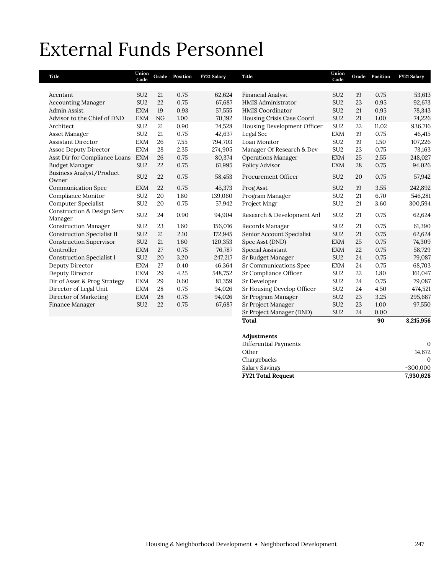# External Funds Personnel

| Title                                            | Union<br>Code   | Grade | Position | <b>FY21 Salary</b> | <b>Title</b>                | Union<br>Code   | Grade | Position | FY21 Salary |
|--------------------------------------------------|-----------------|-------|----------|--------------------|-----------------------------|-----------------|-------|----------|-------------|
|                                                  |                 |       |          |                    |                             |                 |       |          |             |
| Accntant                                         | SU <sub>2</sub> | 21    | 0.75     | 62,624             | <b>Financial Analyst</b>    | SU <sub>2</sub> | 19    | 0.75     | 53,613      |
| <b>Accounting Manager</b>                        | SU <sub>2</sub> | 22    | 0.75     | 67,687             | HMIS Administrator          | SU <sub>2</sub> | 23    | 0.95     | 92,673      |
| <b>Admin Assist</b>                              | <b>EXM</b>      | 19    | 0.93     | 57,555             | <b>HMIS Coordinator</b>     | SU <sub>2</sub> | 21    | 0.95     | 78,343      |
| Advisor to the Chief of DND                      | <b>EXM</b>      | NG    | 1.00     | 70,192             | Housing Crisis Case Coord   | SU <sub>2</sub> | 21    | 1.00     | 74,226      |
| Architect                                        | SU <sub>2</sub> | 21    | 0.90     | 74,528             | Housing Development Officer | SU <sub>2</sub> | 22    | 11.02    | 936,716     |
| Asset Manager                                    | SU <sub>2</sub> | 21    | 0.75     | 42,637             | Legal Sec                   | <b>EXM</b>      | 19    | 0.75     | 46,415      |
| <b>Assistant Director</b>                        | <b>EXM</b>      | 26    | 7.55     | 794,703            | Loan Monitor                | SU <sub>2</sub> | 19    | 1.50     | 107,226     |
| <b>Assoc Deputy Director</b>                     | <b>EXM</b>      | 28    | 2.35     | 274,905            | Manager Of Research & Dev   | SU <sub>2</sub> | 23    | 0.75     | 73,163      |
| Asst Dir for Compliance Loans                    | <b>EXM</b>      | 26    | 0.75     | 80,374             | <b>Operations Manager</b>   | <b>EXM</b>      | 25    | 2.55     | 248,027     |
| <b>Budget Manager</b>                            | SU <sub>2</sub> | 22    | 0.75     | 61,995             | Policy Advisor              | <b>EXM</b>      | 28    | 0.75     | 94,026      |
| Business Analyst/Product<br>Owner                | SU <sub>2</sub> | 22    | 0.75     | 58,453             | Procurement Officer         | SU <sub>2</sub> | 20    | 0.75     | 57,942      |
| <b>Communication Spec</b>                        | <b>EXM</b>      | 22    | 0.75     | 45,373             | Prog Asst                   | SU <sub>2</sub> | 19    | 3.55     | 242,892     |
| Compliance Monitor                               | SU <sub>2</sub> | 20    | 1.80     | 139,060            | Program Manager             | SU <sub>2</sub> | 21    | 6.70     | 546,281     |
| <b>Computer Specialist</b>                       | SU <sub>2</sub> | 20    | 0.75     | 57,942             | Project Mngr                | SU <sub>2</sub> | 21    | 3.60     | 300,594     |
| <b>Construction &amp; Design Serv</b><br>Manager | SU <sub>2</sub> | 24    | 0.90     | 94,904             | Research & Development Anl  | SU <sub>2</sub> | 21    | 0.75     | 62,624      |
| <b>Construction Manager</b>                      | SU <sub>2</sub> | 23    | 1.60     | 156,016            | Records Manager             | SU <sub>2</sub> | 21    | 0.75     | 61,390      |
| <b>Construction Specialist II</b>                | SU <sub>2</sub> | 21    | 2.10     | 172,945            | Senior Account Specialist   | SU <sub>2</sub> | 21    | 0.75     | 62,624      |
| <b>Construction Supervisor</b>                   | SU <sub>2</sub> | 21    | 1.60     | 120,353            | Spec Asst (DND)             | <b>EXM</b>      | 25    | 0.75     | 74,309      |
| Controller                                       | <b>EXM</b>      | 27    | 0.75     | 76,787             | Special Assistant           | <b>EXM</b>      | 22    | 0.75     | 58,729      |
| <b>Construction Specialist I</b>                 | SU <sub>2</sub> | 20    | 3.20     | 247,217            | Sr Budget Manager           | SU <sub>2</sub> | 24    | 0.75     | 79,087      |
| Deputy Director                                  | <b>EXM</b>      | 27    | 0.40     | 46,364             | Sr Communications Spec      | <b>EXM</b>      | 24    | 0.75     | 68,703      |
| Deputy Director                                  | <b>EXM</b>      | 29    | 4.25     | 548,752            | Sr Compliance Officer       | SU <sub>2</sub> | 22    | 1.80     | 161,047     |
| Dir of Asset & Prog Strategy                     | <b>EXM</b>      | 29    | 0.60     | 81,359             | Sr Developer                | SU <sub>2</sub> | 24    | 0.75     | 79,087      |
| Director of Legal Unit                           | <b>EXM</b>      | 28    | 0.75     | 94,026             | Sr Housing Develop Officer  | SU <sub>2</sub> | 24    | 4.50     | 474,521     |
| Director of Marketing                            | <b>EXM</b>      | 28    | 0.75     | 94,026             | Sr Program Manager          | SU <sub>2</sub> | 23    | 3.25     | 295,687     |
| Finance Manager                                  | SU <sub>2</sub> | 22    | 0.75     | 67,687             | Sr Project Manager          | SU <sub>2</sub> | 23    | 1.00     | 97,550      |
|                                                  |                 |       |          |                    | Sr Project Manager (DND)    | SU <sub>2</sub> | 24    | 0.00     |             |
|                                                  |                 |       |          |                    | <b>Total</b>                |                 |       | 90       | 8,215,956   |

# **Adjustments**

| <b>FY21 Total Request</b> | 7,930,628  |
|---------------------------|------------|
| Salary Savings            | $-300,000$ |
| Chargebacks               |            |
| Other                     | 14.672     |
| Differential Payments     | 0          |
|                           |            |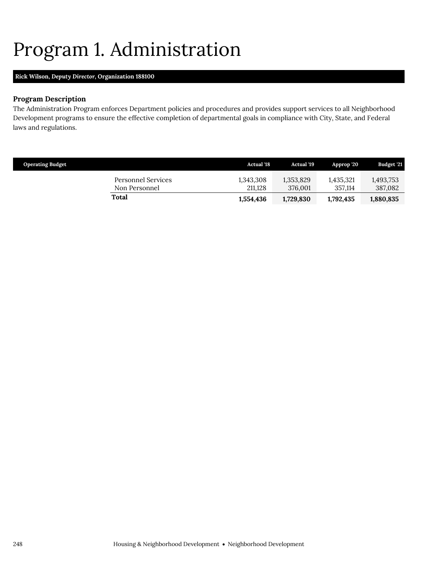# <span id="page-11-0"></span>Program 1. Administration

# **Rick Wilson,** *Deputy Director,* **Organization 188100**

# **Program Description**

The Administration Program enforces Department policies and procedures and provides support services to all Neighborhood Development programs to ensure the effective completion of departmental goals in compliance with City, State, and Federal laws and regulations.

| <b>Operating Budget</b> |                                     | <b>Actual</b> '18    | <b>Actual</b> '19    | Approp '20           | Budget '21           |
|-------------------------|-------------------------------------|----------------------|----------------------|----------------------|----------------------|
|                         | Personnel Services<br>Non Personnel | 1,343,308<br>211.128 | 1,353,829<br>376,001 | 1.435.321<br>357.114 | 1,493,753<br>387,082 |
|                         | <b>Total</b>                        | 1,554,436            | 1,729,830            | 1,792,435            | 1,880,835            |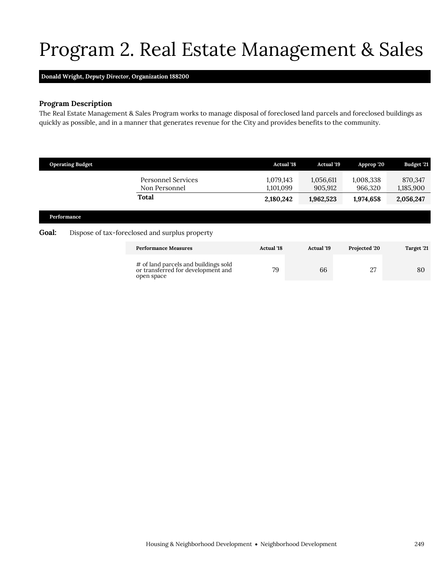# Program 2. Real Estate Management & Sales

## **Donald Wright,** *Deputy Director,* **Organization 188200**

<span id="page-12-0"></span>open space

## **Program Description**

The Real Estate Management & Sales Program works to manage disposal of foreclosed land parcels and foreclosed buildings as quickly as possible, and in a manner that generates revenue for the City and provides benefits to the community.

|              | <b>Operating Budget</b> |                                                                            | <b>Actual '18</b>      | <b>Actual '19</b>    | Approp '20           | Budget '21           |
|--------------|-------------------------|----------------------------------------------------------------------------|------------------------|----------------------|----------------------|----------------------|
|              |                         | <b>Personnel Services</b><br>Non Personnel                                 | 1,079,143<br>1,101,099 | 1,056,611<br>905,912 | 1,008,338<br>966,320 | 870,347<br>1,185,900 |
|              |                         | <b>Total</b>                                                               | 2,180,242              | 1,962,523            | 1,974,658            | 2,056,247            |
|              | Performance             |                                                                            |                        |                      |                      |                      |
| <b>Goal:</b> |                         | Dispose of tax-foreclosed and surplus property                             |                        |                      |                      |                      |
|              |                         | <b>Performance Measures</b>                                                | <b>Actual</b> '18      | <b>Actual</b> '19    | Projected '20        | Target '21           |
|              |                         | # of land parcels and buildings sold<br>or transferred for development and | 79                     | 66                   | 27                   | 80                   |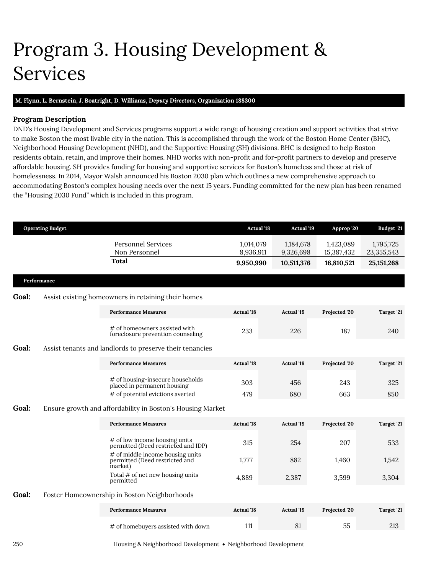# <span id="page-13-0"></span>Program 3. Housing Development & Services

## **M. Flynn, L. Bernstein, J. Boatright, D. Williams,** *Deputy Directors,* **Organization 188300**

# **Program Description**

DND's Housing Development and Services programs support a wide range of housing creation and support activities that strive to make Boston the most livable city in the nation. This is accomplished through the work of the Boston Home Center (BHC), Neighborhood Housing Development (NHD), and the Supportive Housing (SH) divisions. BHC is designed to help Boston residents obtain, retain, and improve their homes. NHD works with non-profit and for-profit partners to develop and preserve affordable housing. SH provides funding for housing and supportive services for Boston's homeless and those at risk of homelessness. In 2014, Mayor Walsh announced his Boston 2030 plan which outlines a new comprehensive approach to accommodating Boston's complex housing needs over the next 15 years. Funding committed for the new plan has been renamed the "Housing 2030 Fund" which is included in this program.

| <b>Operating Budget</b> |             |                                                                                                | <b>Actual '18</b>      | <b>Actual '19</b>      | Approp '20              | Budget '21              |
|-------------------------|-------------|------------------------------------------------------------------------------------------------|------------------------|------------------------|-------------------------|-------------------------|
|                         |             | <b>Personnel Services</b><br>Non Personnel                                                     | 1,014,079<br>8,936,911 | 1,184,678<br>9,326,698 | 1,423,089<br>15,387,432 | 1,795,725<br>23,355,543 |
|                         |             | Total                                                                                          | 9,950,990              | 10,511,376             | 16,810,521              | 25, 151, 268            |
|                         | Performance |                                                                                                |                        |                        |                         |                         |
| <b>Goal:</b>            |             | Assist existing homeowners in retaining their homes                                            |                        |                        |                         |                         |
|                         |             | <b>Performance Measures</b>                                                                    | <b>Actual</b> '18      | <b>Actual '19</b>      | Projected '20           | Target '21              |
|                         |             | # of homeowners assisted with<br>foreclosure prevention counseling                             | 233                    | 226                    | 187                     | 240                     |
| <b>Goal:</b>            |             | Assist tenants and landlords to preserve their tenancies                                       |                        |                        |                         |                         |
|                         |             | <b>Performance Measures</b>                                                                    | <b>Actual</b> '18      | <b>Actual</b> '19      | Projected '20           | Target '21              |
|                         |             | # of housing-insecure households<br>placed in permanent housing                                | 303                    | 456                    | 243                     | 325                     |
| <b>Goal:</b>            |             | # of potential evictions averted<br>Ensure growth and affordability in Boston's Housing Market | 479                    | 680                    | 663                     | 850                     |
|                         |             | <b>Performance Measures</b>                                                                    | <b>Actual</b> '18      | <b>Actual</b> '19      | Projected '20           | Target '21              |
|                         |             | # of low income housing units<br>permitted (Deed restricted and IDP)                           | 315                    | 254                    | 207                     | 533                     |
|                         |             | # of middle income housing units<br>permitted (Deed restricted and<br>market)                  | 1,777                  | 882                    | 1,460                   | 1,542                   |
|                         |             | Total # of net new housing units<br>permitted                                                  | 4,889                  | 2,387                  | 3,599                   | 3,304                   |
| <b>Goal:</b>            |             | Foster Homeownership in Boston Neighborhoods                                                   |                        |                        |                         |                         |
|                         |             | <b>Performance Measures</b>                                                                    | <b>Actual</b> '18      | <b>Actual</b> '19      | Projected '20           | Target '21              |
|                         |             | # of homebuyers assisted with down                                                             | 111                    | 81                     | 55                      | 213                     |
|                         |             |                                                                                                |                        |                        |                         |                         |

250 Housing & Neighborhood Development Neighborhood Development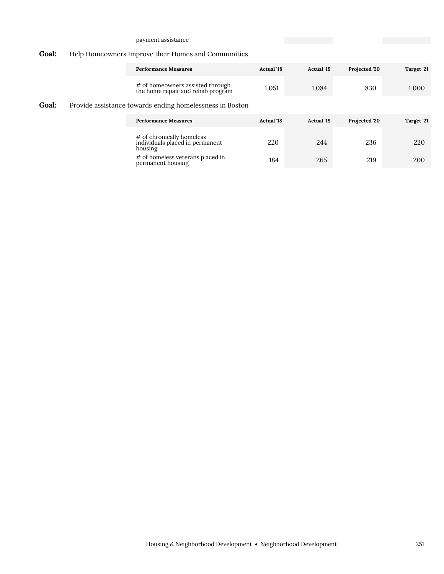## payment assistance

# **Goal:** Help Homeowners Improve their Homes and Communities

|       |  | <b>Performance Measures</b>                                             | <b>Actual</b> '18 | <b>Actual '19</b> | Projected '20 | Target '21 |
|-------|--|-------------------------------------------------------------------------|-------------------|-------------------|---------------|------------|
|       |  | # of homeowners assisted through<br>the home repair and rehab program   | 1,051             | 1,084             | 830           | 1,000      |
| Goal: |  | Provide assistance towards ending homelessness in Boston                |                   |                   |               |            |
|       |  | <b>Performance Measures</b>                                             | <b>Actual</b> '18 | <b>Actual</b> '19 | Projected '20 | Target '21 |
|       |  | # of chronically homeless<br>individuals placed in permanent<br>housing | 220               | 244               | 236           | 220        |
|       |  | # of homeless veterans placed in<br>permanent housing                   | 184               | 265               | 219           | 200        |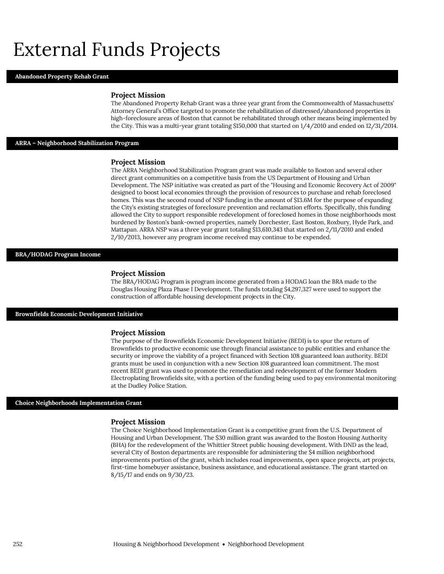# External Funds Projects

### **Abandoned Property Rehab Grant**

#### **Project Mission**

The Abandoned Property Rehab Grant was a three year grant from the Commonwealth of Massachusetts' Attorney General's Office targeted to promote the rehabilitation of distressed/abandoned properties in high-foreclosure areas of Boston that cannot be rehabilitated through other means being implemented by the City. This was a multi-year grant totaling \$150,000 that started on 1/4/2010 and ended on 12/31/2014.

### **ARRA – Neighborhood Stabilization Program**

### **Project Mission**

The ARRA Neighborhood Stabilization Program grant was made available to Boston and several other direct grant communities on a competitive basis from the US Department of Housing and Urban Development. The NSP initiative was created as part of the "Housing and Economic Recovery Act of 2009" designed to boost local economies through the provision of resources to purchase and rehab foreclosed homes. This was the second round of NSP funding in the amount of \$13.6M for the purpose of expanding the City's existing strategies of foreclosure prevention and reclamation efforts. Specifically, this funding allowed the City to support responsible redevelopment of foreclosed homes in those neighborhoods most burdened by Boston's bank-owned properties, namely Dorchester, East Boston, Roxbury, Hyde Park, and Mattapan. ARRA NSP was a three year grant totaling \$13,610,343 that started on 2/11/2010 and ended 2/10/2013, however any program income received may continue to be expended.

### **BRA/HODAG Program Income**

#### **Project Mission**

The BRA/HODAG Program is program income generated from a HODAG loan the BRA made to the Douglas Housing Plaza Phase I Development. The funds totaling \$4,297,327 were used to support the construction of affordable housing development projects in the City.

#### **Brownfields Economic Development Initiative**

#### **Project Mission**

The purpose of the Brownfields Economic Development Initiative (BEDI) is to spur the return of Brownfields to productive economic use through financial assistance to public entities and enhance the security or improve the viability of a project financed with Section 108 guaranteed loan authority. BEDI grants must be used in conjunction with a new Section 108 guaranteed loan commitment. The most recent BEDI grant was used to promote the remediation and redevelopment of the former Modern Electroplating Brownfields site, with a portion of the funding being used to pay environmental monitoring at the Dudley Police Station.

#### **Choice Neighborhoods Implementation Grant**

#### **Project Mission**

The Choice Neighborhood Implementation Grant is a competitive grant from the U.S. Department of Housing and Urban Development. The \$30 million grant was awarded to the Boston Housing Authority (BHA) for the redevelopment of the Whittier Street public housing development. With DND as the lead, several City of Boston departments are responsible for administering the \$4 million neighborhood improvements portion of the grant, which includes road improvements, open space projects, art projects, first-time homebuyer assistance, business assistance, and educational assistance. The grant started on 8/15/17 and ends on 9/30/23.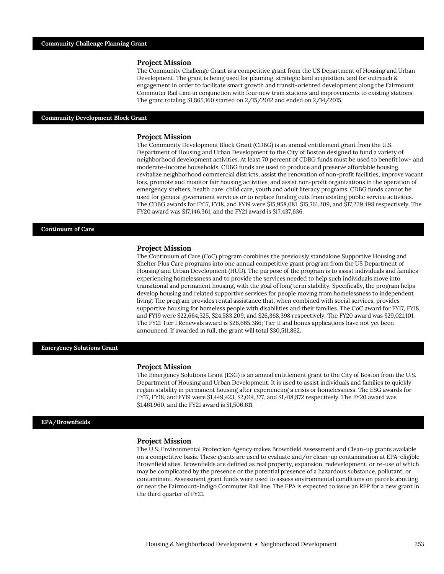The Community Challenge Grant is a competitive grant from the US Department of Housing and Urban Development. The grant is being used for planning, strategic land acquisition, and for outreach & engagement in order to facilitate smart growth and transit-oriented development along the Fairmount Commuter Rail Line in conjunction with four new train stations and improvements to existing stations. The grant totaling \$1,865,160 started on 2/15/2012 and ended on 2/14/2015.

#### **Community Development Block Grant**

#### **Project Mission**

The Community Development Block Grant (CDBG) is an annual entitlement grant from the U.S. Department of Housing and Urban Development to the City of Boston designed to fund a variety of neighborhood development activities. At least 70 percent of CDBG funds must be used to benefit low- and moderate-income households. CDBG funds are used to produce and preserve affordable housing, revitalize neighborhood commercial districts, assist the renovation of non-profit facilities, improve vacant lots, promote and monitor fair housing activities, and assist non-profit organizations in the operation of emergency shelters, health care, child care, youth and adult literacy programs. CDBG funds cannot be used for general government services or to replace funding cuts from existing public service activities. The CDBG awards for FY17, FY18, and FY19 were \$15,958,081, \$15,761,309, and \$17,229,498 respectively. The FY20 award was \$17,146,361, and the FY21 award is \$17,437,636.

#### **Continuum of Care**

#### **Project Mission**

The Continuum of Care (CoC) program combines the previously standalone Supportive Housing and Shelter Plus Care programs into one annual competitive grant program from the US Department of Housing and Urban Development (HUD). The purpose of the program is to assist individuals and families experiencing homelessness and to provide the services needed to help such individuals move into transitional and permanent housing, with the goal of long term stability. Specifically, the program helps develop housing and related supportive services for people moving from homelessness to independent living. The program provides rental assistance that, when combined with social services, provides supportive housing for homeless people with disabilities and their families. The CoC award for FY17, FY18, and FY19 were \$22,664,525, \$24,583,209, and \$26,368,398 respectively. The FY20 award was \$29,021,101. The FY21 Tier I Renewals award is \$26,665,386; Tier II and bonus applications have not yet been announced. If awarded in full, the grant will total \$30,511,862.

#### **Emergency Solutions Grant**

### **Project Mission**

The Emergency Solutions Grant (ESG) is an annual entitlement grant to the City of Boston from the U.S. Department of Housing and Urban Development. It is used to assist individuals and families to quickly regain stability in permanent housing after experiencing a crisis or homelessness. The ESG awards for FY17, FY18, and FY19 were \$1,449,423, \$2,014,377, and \$1,418,872 respectively. The FY20 award was \$1,461,960, and the FY21 award is \$1,506,611.

### **EPA/Brownfields**

### **Project Mission**

The U.S. Environmental Protection Agency makes Brownfield Assessment and Clean-up grants available on a competitive basis. These grants are used to evaluate and/or clean-up contamination at EPA-eligible Brownfield sites. Brownfields are defined as real property, expansion, redevelopment, or re-use of which may be complicated by the presence or the potential presence of a hazardous substance, pollutant, or contaminant. Assessment grant funds were used to assess environmental conditions on parcels abutting or near the Fairmount-Indigo Commuter Rail line. The EPA is expected to issue an RFP for a new grant in the third quarter of FY21.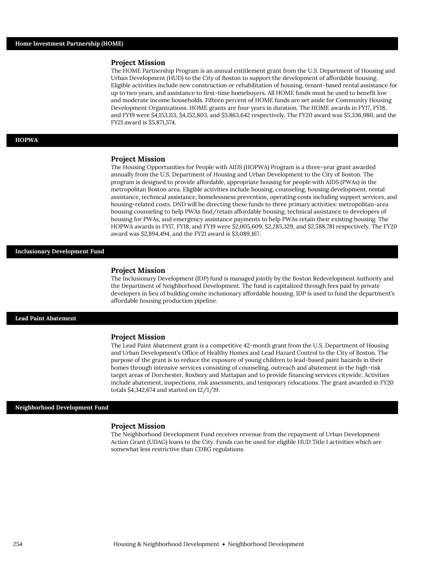The HOME Partnership Program is an annual entitlement grant from the U.S. Department of Housing and Urban Development (HUD) to the City of Boston to support the development of affordable housing. Eligible activities include new construction or rehabilitation of housing, tenant-based rental assistance for up to two years, and assistance to first-time homebuyers. All HOME funds must be used to benefit low and moderate income households. Fifteen percent of HOME funds are set aside for Community Housing Development Organizations. HOME grants are four years in duration. The HOME awards in FY17, FY18, and FY19 were \$4,153,113, \$4,152,803, and \$5,863,642 respectively. The FY20 award was \$5,336,980, and the FY21 award is \$5,871,574.

### **HOPWA**

#### **Project Mission**

The Housing Opportunities for People with AIDS (HOPWA) Program is a three-year grant awarded annually from the U.S. Department of Housing and Urban Development to the City of Boston. The program is designed to provide affordable, appropriate housing for people with AIDS (PWAs) in the metropolitan Boston area. Eligible activities include housing, counseling, housing development, rental assistance, technical assistance, homelessness prevention, operating costs including support services, and housing-related costs. DND will be directing these funds to three primary activities: metropolitan-area housing counseling to help PWAs find/retain affordable housing, technical assistance to developers of housing for PWAs, and emergency assistance payments to help PWAs retain their existing housing. The HOPWA awards in FY17, FY18, and FY19 were \$2,005,609, \$2,285,329, and \$2,588,781 respectively. The FY20 award was \$2,894,494, and the FY21 award is \$3,089,167.

## **Inclusionary Development Fund**

#### **Project Mission**

The Inclusionary Development (IDP) fund is managed jointly by the Boston Redevelopment Authority and the Department of Neighborhood Development. The fund is capitalized through fees paid by private developers in lieu of building onsite inclusionary affordable housing. IDP is used to fund the department's affordable housing production pipeline.

### **Lead Paint Abatement**

#### **Project Mission**

The Lead Paint Abatement grant is a competitive 42-month grant from the U.S. Department of Housing and Urban Development's Office of Healthy Homes and Lead Hazard Control to the City of Boston. The purpose of the grant is to reduce the exposure of young children to lead-based paint hazards in their homes through intensive services consisting of counseling, outreach and abatement in the high-risk target areas of Dorchester, Roxbury and Mattapan and to provide financing services citywide. Activities include abatement, inspections, risk assessments, and temporary relocations. The grant awarded in FY20 totals \$4,342,674 and started on 12/1/19.

#### **Neighborhood Development Fund**

### **Project Mission**

The Neighborhood Development Fund receives revenue from the repayment of Urban Development Action Grant (UDAG) loans to the City. Funds can be used for eligible HUD Title I activities which are somewhat less restrictive than CDBG regulations.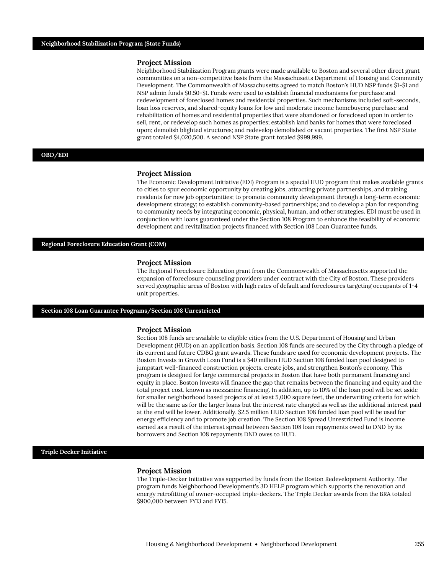Neighborhood Stabilization Program grants were made available to Boston and several other direct grant communities on a non-competitive basis from the Massachusetts Department of Housing and Community Development. The Commonwealth of Massachusetts agreed to match Boston's HUD NSP funds \$1-\$1 and NSP admin funds \$0.50-\$1. Funds were used to establish financial mechanisms for purchase and redevelopment of foreclosed homes and residential properties. Such mechanisms included soft-seconds, loan loss reserves, and shared-equity loans for low and moderate income homebuyers; purchase and rehabilitation of homes and residential properties that were abandoned or foreclosed upon in order to sell, rent, or redevelop such homes as properties; establish land banks for homes that were foreclosed upon; demolish blighted structures; and redevelop demolished or vacant properties. The first NSP State grant totaled \$4,020,500. A second NSP State grant totaled \$999,999.

### **OBD/EDI**

#### **Project Mission**

The Economic Development Initiative (EDI) Program is a special HUD program that makes available grants to cities to spur economic opportunity by creating jobs, attracting private partnerships, and training residents for new job opportunities; to promote community development through a long-term economic development strategy; to establish community-based partnerships; and to develop a plan for responding to community needs by integrating economic, physical, human, and other strategies. EDI must be used in conjunction with loans guaranteed under the Section 108 Program to enhance the feasibility of economic development and revitalization projects financed with Section 108 Loan Guarantee funds.

#### **Regional Foreclosure Education Grant (COM)**

#### **Project Mission**

The Regional Foreclosure Education grant from the Commonwealth of Massachusetts supported the expansion of foreclosure counseling providers under contract with the City of Boston. These providers served geographic areas of Boston with high rates of default and foreclosures targeting occupants of 1-4 unit properties.

### **Section 108 Loan Guarantee Programs/Section 108 Unrestricted**

#### **Project Mission**

Section 108 funds are available to eligible cities from the U.S. Department of Housing and Urban Development (HUD) on an application basis. Section 108 funds are secured by the City through a pledge of its current and future CDBG grant awards. These funds are used for economic development projects. The Boston Invests in Growth Loan Fund is a \$40 million HUD Section 108 funded loan pool designed to jumpstart well-financed construction projects, create jobs, and strengthen Boston's economy. This program is designed for large commercial projects in Boston that have both permanent financing and equity in place. Boston Invests will finance the gap that remains between the financing and equity and the total project cost, known as mezzanine financing. In addition, up to 10% of the loan pool will be set aside for smaller neighborhood based projects of at least 5,000 square feet, the underwriting criteria for which will be the same as for the larger loans but the interest rate charged as well as the additional interest paid at the end will be lower. Additionally, \$2.5 million HUD Section 108 funded loan pool will be used for energy efficiency and to promote job creation. The Section 108 Spread Unrestricted Fund is income earned as a result of the interest spread between Section 108 loan repayments owed to DND by its borrowers and Section 108 repayments DND owes to HUD.

## **Triple Decker Initiative**

### **Project Mission**

The Triple-Decker Initiative was supported by funds from the Boston Redevelopment Authority. The program funds Neighborhood Development's 3D HELP program which supports the renovation and energy retrofitting of owner-occupied triple-deckers. The Triple Decker awards from the BRA totaled \$900,000 between FY13 and FY15.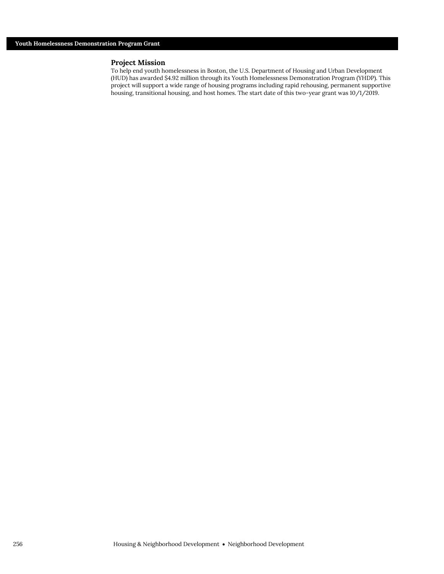To help end youth homelessness in Boston, the U.S. Department of Housing and Urban Development (HUD) has awarded \$4.92 million through its Youth Homelessness Demonstration Program (YHDP). This project will support a wide range of housing programs including rapid rehousing, permanent supportive housing, transitional housing, and host homes. The start date of this two-year grant was 10/1/2019.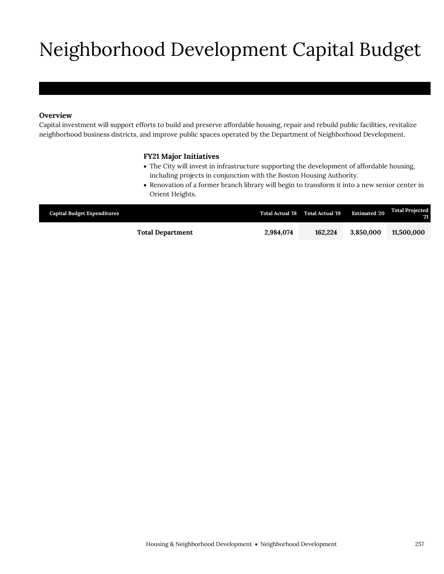# Neighborhood Development Capital Budget

# **Overview**

Capital investment will support efforts to build and preserve affordable housing, repair and rebuild public facilities, revitalize neighborhood business districts, and improve public spaces operated by the Department of Neighborhood Development.

## **FY21 Major Initiatives**

- The City will invest in infrastructure supporting the development of affordable housing, including projects in conjunction with the Boston Housing Authority.
- Renovation of a former branch library will begin to transform it into a new senior center in Orient Heights.

| <b>Capital Budget Expenditures</b> |                         |           | Total Actual '18 Total Actual '19 | <b>Estimated '20</b> | <b>Total Projected</b><br>VXI. |
|------------------------------------|-------------------------|-----------|-----------------------------------|----------------------|--------------------------------|
|                                    | <b>Total Department</b> | 2.984.074 | 162.224                           | 3.850,000            | 11.500.000                     |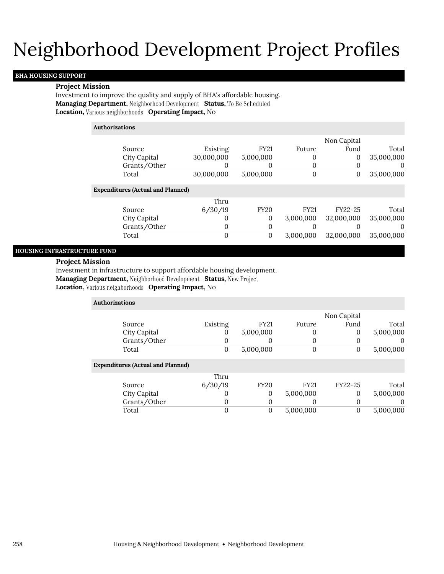# Neighborhood Development Project Profiles

## **BHA HOUSING SUPPORT**

### **Project Mission**

Investment to improve the quality and supply of BHA's affordable housing. Managing Department, Neighborhood Development Status, To Be Scheduled **Location, Various neighborhoods Operating Impact, No** 

| <b>Authorizations</b>                    |            |             |             |              |            |
|------------------------------------------|------------|-------------|-------------|--------------|------------|
|                                          |            |             |             | Non Capital  |            |
| Source                                   | Existing   | <b>FY21</b> | Future      | Fund         | Total      |
| City Capital                             | 30,000,000 | 5,000,000   | 0           | $\mathbf{0}$ | 35,000,000 |
| Grants/Other                             | 0          | 0           | 0           | 0            | 0          |
| Total                                    | 30,000,000 | 5,000,000   | 0           | $\mathbf{0}$ | 35,000,000 |
| <b>Expenditures (Actual and Planned)</b> |            |             |             |              |            |
|                                          | Thru       |             |             |              |            |
| Source                                   | 6/30/19    | <b>FY20</b> | <b>FY21</b> | FY22-25      | Total      |
| City Capital                             | 0          | 0           | 3,000,000   | 32,000,000   | 35,000,000 |
| Grants/Other                             | 0          | 0           | O           |              | $\theta$   |
| Total                                    | 0          | 0           | 3,000,000   | 32,000,000   | 35,000,000 |
|                                          |            |             |             |              |            |

## **HOUSING INFRASTRUCTURE FUND**

## **Project Mission**

Investment in infrastructure to support affordable housing development.

**Managing Department, Neighborhood Development Status, New Project** 

**Location, Various neighborhoods Operating Impact, No** 

| <b>Authorizations</b>                    |          |             |             |             |           |
|------------------------------------------|----------|-------------|-------------|-------------|-----------|
|                                          |          |             |             | Non Capital |           |
| Source                                   | Existing | <b>FY21</b> | Future      | Fund        | Total     |
| City Capital                             | O        | 5,000,000   | $\theta$    | 0           | 5,000,000 |
| Grants/Other                             | O        | O           | $\theta$    | 0           | $\theta$  |
| Total                                    | 0        | 5,000,000   | 0           | 0           | 5,000,000 |
| <b>Expenditures (Actual and Planned)</b> |          |             |             |             |           |
|                                          | Thru     |             |             |             |           |
| Source                                   | 6/30/19  | <b>FY20</b> | <b>FY21</b> | FY22-25     | Total     |
| City Capital                             | O        | 0           | 5,000,000   | 0           | 5,000,000 |
| Grants/Other                             | O        | 0           | O           | 0           | 0         |
| Total                                    | 0        | $\theta$    | 5,000,000   | 0           | 5,000,000 |